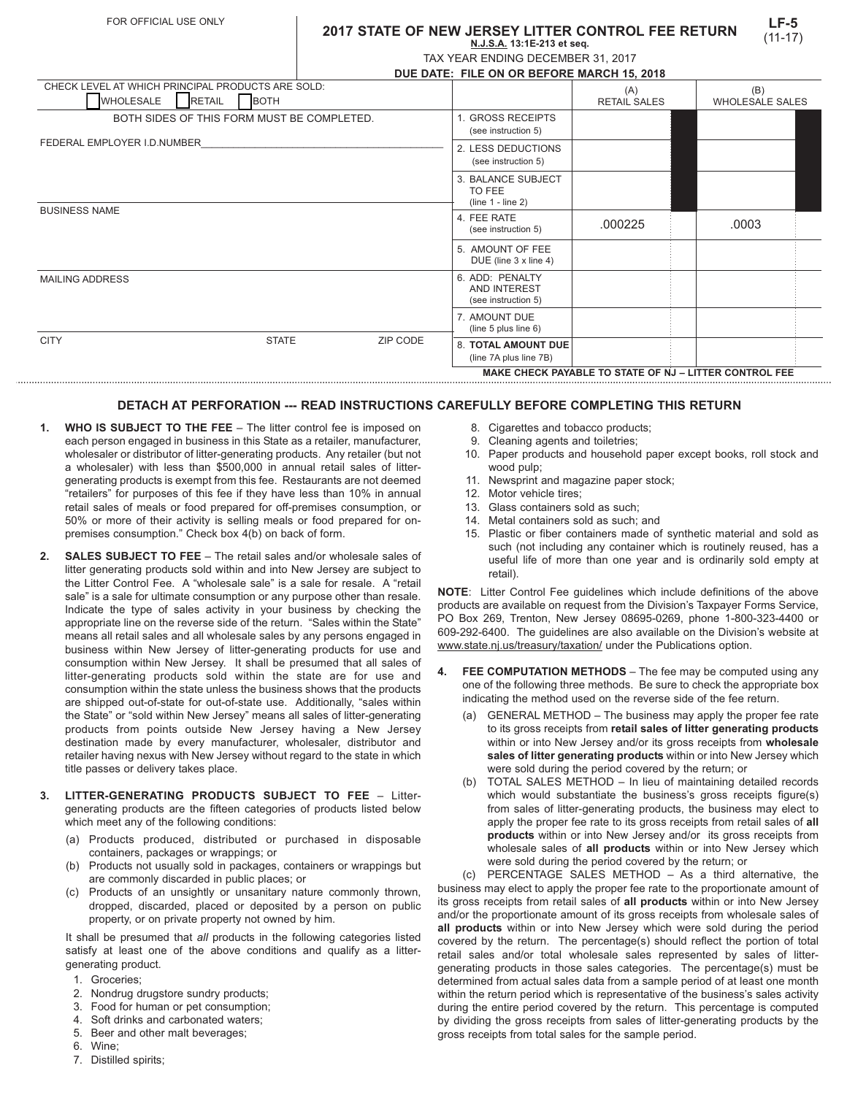## **2017 STATE OF NEW JERSEY LITTER CONTROL FEE RETURN N.J.S.A. 13:1E-213 et seq.**

| TAX YEAR ENDING DECEMBER 31, 2017         |  |
|-------------------------------------------|--|
| NUE DATE. EU E ON OD DEFODE MADOU 45 9049 |  |

| DUE DATE. FILE ON OR BEFORE MARCH 13, 2010                    |                                                               |              |                        |  |
|---------------------------------------------------------------|---------------------------------------------------------------|--------------|------------------------|--|
| CHECK LEVEL AT WHICH PRINCIPAL PRODUCTS ARE SOLD:             |                                                               | (A)          | (B)                    |  |
| <b>WHOLESALE</b><br><b>RETAIL</b><br><b>BOTH</b>              |                                                               | RETAIL SALES | <b>WHOLESALE SALES</b> |  |
| BOTH SIDES OF THIS FORM MUST BE COMPLETED.                    | 1. GROSS RECEIPTS<br>(see instruction 5)                      |              |                        |  |
| FEDERAL EMPLOYER I.D.NUMBER                                   | 2. LESS DEDUCTIONS<br>(see instruction 5)                     |              |                        |  |
|                                                               | 3. BALANCE SUBJECT<br>TO FEE<br>$(line 1 - line 2)$           |              |                        |  |
| <b>BUSINESS NAME</b>                                          | 4. FEE RATE<br>(see instruction 5)                            | .000225      | .0003                  |  |
|                                                               | 5. AMOUNT OF FEE<br>DUE (line 3 x line 4)                     |              |                        |  |
| <b>MAILING ADDRESS</b>                                        | 6. ADD: PENALTY<br><b>AND INTEREST</b><br>(see instruction 5) |              |                        |  |
|                                                               | 7. AMOUNT DUE<br>(line 5 plus line 6)                         |              |                        |  |
| <b>CITY</b><br><b>STATE</b><br>ZIP CODE                       | 8. TOTAL AMOUNT DUE<br>(line 7A plus line 7B)                 |              |                        |  |
| <b>MAKE CHECK PAYABLE TO STATE OF NJ - LITTER CONTROL FEE</b> |                                                               |              |                        |  |

## **DETACH AT PERFORATION --- READ INSTRUCTIONS CAREFULLY BEFORE COMPLETING THIS RETURN**

- **1. WHO IS SUBJECT TO THE FEE** The litter control fee is imposed on each person engaged in business in this State as a retailer, manufacturer, wholesaler or distributor of litter-generating products. Any retailer (but not a wholesaler) with less than \$500,000 in annual retail sales of littergenerating products is exempt from this fee. Restaurants are not deemed "retailers" for purposes of this fee if they have less than 10% in annual retail sales of meals or food prepared for off-premises consumption, or 50% or more of their activity is selling meals or food prepared for onpremises consumption." Check box 4(b) on back of form.
- **2. SALES SUBJECT TO FEE**  The retail sales and/or wholesale sales of litter generating products sold within and into New Jersey are subject to the Litter Control Fee. A "wholesale sale" is a sale for resale. A "retail sale" is a sale for ultimate consumption or any purpose other than resale. Indicate the type of sales activity in your business by checking the appropriate line on the reverse side of the return. "Sales within the State" means all retail sales and all wholesale sales by any persons engaged in business within New Jersey of litter-generating products for use and consumption within New Jersey. It shall be presumed that all sales of litter-generating products sold within the state are for use and consumption within the state unless the business shows that the products are shipped out-of-state for out-of-state use. Additionally, "sales within the State" or "sold within New Jersey" means all sales of litter-generating products from points outside New Jersey having a New Jersey destination made by every manufacturer, wholesaler, distributor and retailer having nexus with New Jersey without regard to the state in which title passes or delivery takes place.
- **3. LITTER-GENERATING PRODUCTS SUBJECT TO FEE** Littergenerating products are the fifteen categories of products listed below which meet any of the following conditions:
	- (a) Products produced, distributed or purchased in disposable containers, packages or wrappings; or
	- (b) Products not usually sold in packages, containers or wrappings but are commonly discarded in public places; or
	- (c) Products of an unsightly or unsanitary nature commonly thrown, dropped, discarded, placed or deposited by a person on public property, or on private property not owned by him.

It shall be presumed that *all* products in the following categories listed satisfy at least one of the above conditions and qualify as a littergenerating product.

- 1. Groceries;
- 2. Nondrug drugstore sundry products;
- 3. Food for human or pet consumption;
- 4. Soft drinks and carbonated waters;
- 5. Beer and other malt beverages;
- 6. Wine;
- 7. Distilled spirits;
- 8. Cigarettes and tobacco products:
- 9. Cleaning agents and toiletries;
- 10. Paper products and household paper except books, roll stock and wood pulp;
- 11. Newsprint and magazine paper stock;
- 12. Motor vehicle tires;
- 13. Glass containers sold as such;
- 14. Metal containers sold as such; and
- 15. Plastic or fiber containers made of synthetic material and sold as such (not including any container which is routinely reused, has a useful life of more than one year and is ordinarily sold empty at retail).

**NOTE**: Litter Control Fee guidelines which include definitions of the above products are available on request from the Division's Taxpayer Forms Service, PO Box 269, Trenton, New Jersey 08695-0269, phone 1-800-323-4400 or 609-292-6400. The guidelines are also available on the Division's website at www.state.nj.us/treasury/taxation/ under the Publications option.

- **4. FEE COMPUTATION METHODS** The fee may be computed using any one of the following three methods. Be sure to check the appropriate box indicating the method used on the reverse side of the fee return.
	- (a) GENERAL METHOD The business may apply the proper fee rate to its gross receipts from **retail sales of litter generating products** within or into New Jersey and/or its gross receipts from **wholesale sales of litter generating products** within or into New Jersey which were sold during the period covered by the return; or
	- (b) TOTAL SALES METHOD In lieu of maintaining detailed records which would substantiate the business's gross receipts figure(s) from sales of litter-generating products, the business may elect to apply the proper fee rate to its gross receipts from retail sales of **all products** within or into New Jersey and/or its gross receipts from wholesale sales of **all products** within or into New Jersey which were sold during the period covered by the return; or

(c) PERCENTAGE SALES METHOD – As a third alternative, the business may elect to apply the proper fee rate to the proportionate amount of its gross receipts from retail sales of **all products** within or into New Jersey and/or the proportionate amount of its gross receipts from wholesale sales of **all products** within or into New Jersey which were sold during the period covered by the return. The percentage(s) should reflect the portion of total retail sales and/or total wholesale sales represented by sales of littergenerating products in those sales categories. The percentage(s) must be determined from actual sales data from a sample period of at least one month within the return period which is representative of the business's sales activity during the entire period covered by the return. This percentage is computed by dividing the gross receipts from sales of litter-generating products by the gross receipts from total sales for the sample period.